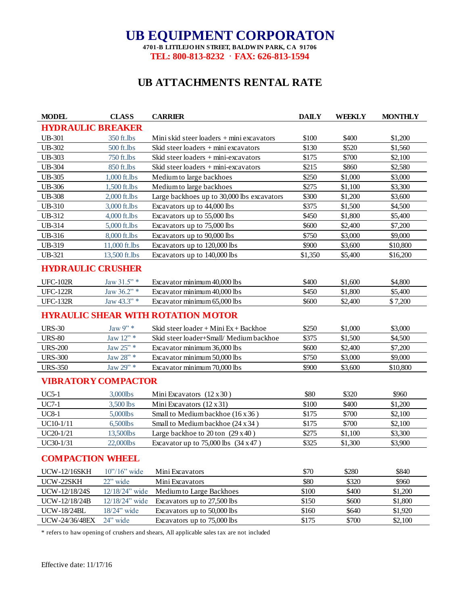## **UB EQUIPMENT CORPORATON**

**4701-B LITTLEJO HN STREET, BALDWIN PARK, CA 91706 TEL: 800-813-8232 · FAX: 626-813-1594** 

## **UB ATTACHMENTS RENTAL RATE**

| <b>MODEL</b>                              | <b>CLASS</b>               | <b>CARRIER</b>                                | <b>DAILY</b> | WEEKLY  | <b>MONTHLY</b> |  |  |  |
|-------------------------------------------|----------------------------|-----------------------------------------------|--------------|---------|----------------|--|--|--|
| <b>HYDRAULIC BREAKER</b>                  |                            |                                               |              |         |                |  |  |  |
| <b>UB-301</b>                             | 350 ft.lbs                 | Mini skid steer loaders $+$ mini excavators   | \$100        | \$400   | \$1,200        |  |  |  |
| <b>UB-302</b>                             | 500 ft.lbs                 | Skid steer loaders + mini excavators          | \$130        | \$520   | \$1,560        |  |  |  |
| <b>UB-303</b>                             | 750 ft.lbs                 | Skid steer loaders $+$ mini-excavators        | \$175        | \$700   | \$2,100        |  |  |  |
| <b>UB-304</b>                             | 850 ft.lbs                 | Skid steer loaders $+$ mini-excavators        | \$215        | \$860   | \$2,580        |  |  |  |
| <b>UB-305</b>                             | 1,000 ft.lbs               | Medium to large backhoes                      | \$250        | \$1,000 | \$3,000        |  |  |  |
| <b>UB-306</b>                             | 1,500 ft.lbs               | Medium to large backhoes                      | \$275        | \$1,100 | \$3,300        |  |  |  |
| <b>UB-308</b>                             | 2,000 ft.lbs               | Large backhoes up to 30,000 lbs excavators    | \$300        | \$1,200 | \$3,600        |  |  |  |
| <b>UB-310</b>                             | 3,000 ft.lbs               | Excavators up to 44,000 lbs                   | \$375        | \$1,500 | \$4,500        |  |  |  |
| UB-312                                    | 4,000 ft.lbs               | Excavators up to 55,000 lbs                   | \$450        | \$1,800 | \$5,400        |  |  |  |
| UB-314                                    | 5,000 ft.lbs               | Excavators up to 75,000 lbs                   | \$600        | \$2,400 | \$7,200        |  |  |  |
| <b>UB-316</b>                             | 8,000 ft.lbs               | Excavators up to 90,000 lbs                   | \$750        | \$3,000 | \$9,000        |  |  |  |
| UB-319                                    | 11,000 ft.lbs              | Excavators up to 120,000 lbs                  | \$900        | \$3,600 | \$10,800       |  |  |  |
| <b>UB-321</b>                             | 13,500 ft.lbs              | Excavators up to 140,000 lbs                  | \$1,350      | \$5,400 | \$16,200       |  |  |  |
| <b>HYDRAULIC CRUSHER</b>                  |                            |                                               |              |         |                |  |  |  |
| <b>UFC-102R</b>                           | Jaw $31.5$ " *             | Excavator minimum 40,000 lbs                  | \$400        | \$1,600 | \$4,800        |  |  |  |
| <b>UFC-122R</b>                           | Jaw 36.2" *                | Excavator minimum 40,000 lbs                  | \$450        | \$1,800 | \$5,400        |  |  |  |
| <b>UFC-132R</b>                           | Jaw 43.3" *                | Excavator minimum 65,000 lbs                  | \$600        | \$2,400 | \$7,200        |  |  |  |
| <b>HYRAULIC SHEAR WITH ROTATION MOTOR</b> |                            |                                               |              |         |                |  |  |  |
| <b>URS-30</b>                             | Jaw $9"$ *                 | Skid steer loader + Mini $Ex + Backhoe$       | \$250        | \$1,000 | \$3,000        |  |  |  |
| <b>URS-80</b>                             | Jaw 12" *                  | Skid steer loader+Small/Medium backhoe        | \$375        | \$1,500 | \$4,500        |  |  |  |
| <b>URS-200</b>                            | Jaw 25" *                  | Excavator minimum 36,000 lbs                  | \$600        | \$2,400 | \$7,200        |  |  |  |
| <b>URS-300</b>                            | Jaw 28" *                  | Excavator minimum 50,000 lbs                  | \$750        | \$3,000 | \$9,000        |  |  |  |
| <b>URS-350</b>                            | Jaw 29" *                  | Excavator minimum 70,000 lbs                  | \$900        | \$3,600 | \$10,800       |  |  |  |
| <b>VIBRATORY COMPACTOR</b>                |                            |                                               |              |         |                |  |  |  |
| <b>UC5-1</b>                              | 3,000lbs                   | Mini Excavators $(12 \times 30)$              | \$80         | \$320   | \$960          |  |  |  |
| <b>UC7-1</b>                              | 3,500 lbs                  | Mini Excavators (12 x 31)                     | \$100        | \$400   | \$1,200        |  |  |  |
| <b>UC8-1</b>                              | 5,000lbs                   | Small to Medium backhoe (16 x 36)             | \$175        | \$700   | \$2,100        |  |  |  |
| UC10-1/11                                 | 6,500lbs                   | Small to Medium backhoe (24 x 34)             | \$175        | \$700   | \$2,100        |  |  |  |
| UC20-1/21                                 | 13,500lbs                  | Large backhoe to $20 \text{ ton}$ (29 x 40)   | \$275        | \$1,100 | \$3,300        |  |  |  |
| UC30-1/31                                 | 22,000lbs                  | Excavator up to $75,000$ lbs $(34 \times 47)$ | \$325        | \$1,300 | \$3,900        |  |  |  |
| <b>COMPACTION WHEEL</b>                   |                            |                                               |              |         |                |  |  |  |
| <b>UCW-12/16SKH</b>                       | $10\degree/16\degree$ wide | Mini Excavators                               | \$70         | \$280   | \$840          |  |  |  |
| UCW-22SKH                                 | 22" wide                   | Mini Excavators                               | \$80         | \$320   | \$960          |  |  |  |
| UCW-12/18/24S                             | 12/18/24" wide             | Medium to Large Backhoes                      | \$100        | \$400   | \$1,200        |  |  |  |
| UCW-12/18/24B                             | 12/18/24" wide             | Excavators up to 27,500 lbs                   | \$150        | \$600   | \$1,800        |  |  |  |
| <b>UCW-18/24BL</b>                        | $18/24$ " wide             | Excavators up to 50,000 lbs                   | \$160        | \$640   | \$1,920        |  |  |  |
| UCW-24/36/48EX                            | 24" wide                   | Excavators up to 75,000 lbs                   | \$175        | \$700   | \$2,100        |  |  |  |
|                                           |                            |                                               |              |         |                |  |  |  |

\* refers to haw opening of crushers and shears, All applicable sales tax are not included